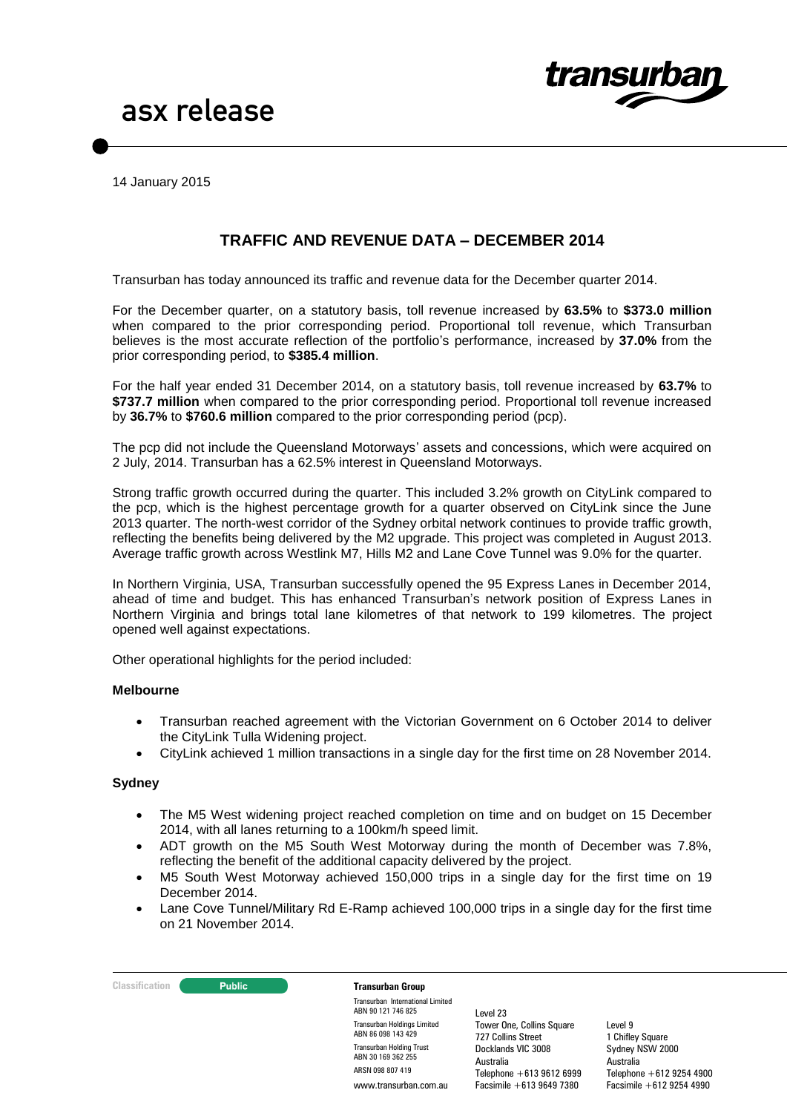

14 January 2015

# **TRAFFIC AND REVENUE DATA – DECEMBER 2014**

Transurban has today announced its traffic and revenue data for the December quarter 2014.

For the December quarter, on a statutory basis, toll revenue increased by **63.5%** to **\$373.0 million** when compared to the prior corresponding period. Proportional toll revenue, which Transurban believes is the most accurate reflection of the portfolio's performance, increased by **37.0%** from the prior corresponding period, to **\$385.4 million**.

For the half year ended 31 December 2014, on a statutory basis, toll revenue increased by **63.7%** to **\$737.7 million** when compared to the prior corresponding period. Proportional toll revenue increased by **36.7%** to **\$760.6 million** compared to the prior corresponding period (pcp).

The pcp did not include the Queensland Motorways' assets and concessions, which were acquired on 2 July, 2014. Transurban has a 62.5% interest in Queensland Motorways.

Strong traffic growth occurred during the quarter. This included 3.2% growth on CityLink compared to the pcp, which is the highest percentage growth for a quarter observed on CityLink since the June 2013 quarter. The north-west corridor of the Sydney orbital network continues to provide traffic growth, reflecting the benefits being delivered by the M2 upgrade. This project was completed in August 2013. Average traffic growth across Westlink M7, Hills M2 and Lane Cove Tunnel was 9.0% for the quarter.

In Northern Virginia, USA, Transurban successfully opened the 95 Express Lanes in December 2014, ahead of time and budget. This has enhanced Transurban's network position of Express Lanes in Northern Virginia and brings total lane kilometres of that network to 199 kilometres. The project opened well against expectations.

Other operational highlights for the period included:

#### **Melbourne**

- Transurban reached agreement with the Victorian Government on 6 October 2014 to deliver the CityLink Tulla Widening project.
- CityLink achieved 1 million transactions in a single day for the first time on 28 November 2014.

#### **Sydney**

- The M5 West widening project reached completion on time and on budget on 15 December 2014, with all lanes returning to a 100km/h speed limit.
- ADT growth on the M5 South West Motorway during the month of December was 7.8%, reflecting the benefit of the additional capacity delivered by the project.
- M5 South West Motorway achieved 150,000 trips in a single day for the first time on 19 December 2014.
- Lane Cove Tunnel/Military Rd E-Ramp achieved 100,000 trips in a single day for the first time on 21 November 2014.

#### **Classification Transurban Group**

Transurban International Limited ABN 90 121 746 825 Transurban Holdings Limited ABN 86 098 143 429 Transurban Holding Trust ABN 30 169 362 255 ARSN 098 807 419 www.transurban.com.au

Level 23 Tower One, Collins Square 727 Collins Street Docklands VIC 3008 Australia Telephone +613 9612 6999 Facsimile +613 9649 7380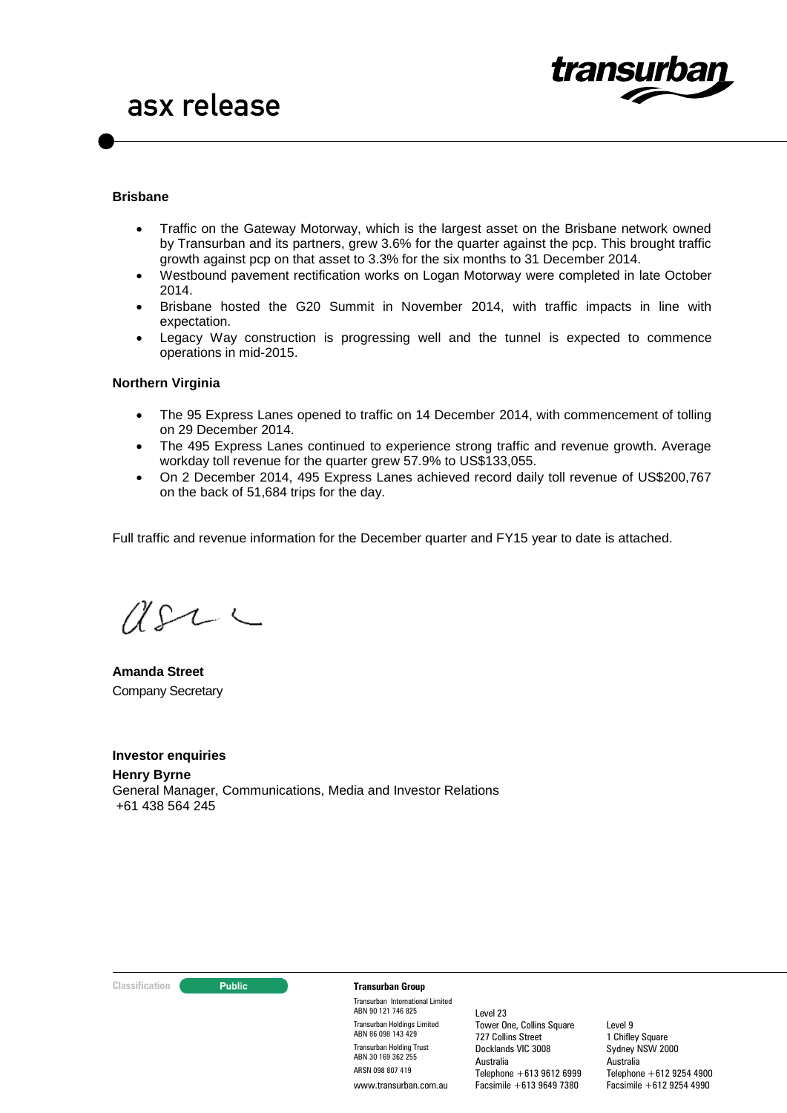

### **Brisbane**

- Traffic on the Gateway Motorway, which is the largest asset on the Brisbane network owned by Transurban and its partners, grew 3.6% for the quarter against the pcp. This brought traffic growth against pcp on that asset to 3.3% for the six months to 31 December 2014.
- Westbound pavement rectification works on Logan Motorway were completed in late October 2014.
- Brisbane hosted the G20 Summit in November 2014, with traffic impacts in line with expectation.
- Legacy Way construction is progressing well and the tunnel is expected to commence operations in mid-2015.

### **Northern Virginia**

- The 95 Express Lanes opened to traffic on 14 December 2014, with commencement of tolling on 29 December 2014.
- The 495 Express Lanes continued to experience strong traffic and revenue growth. Average workday toll revenue for the quarter grew 57.9% to US\$133,055.
- On 2 December 2014, 495 Express Lanes achieved record daily toll revenue of US\$200,767 on the back of 51,684 trips for the day.

Full traffic and revenue information for the December quarter and FY15 year to date is attached.

 $USL \subset$ 

**Amanda Street** Company Secretary

**Investor enquiries**

**Henry Byrne** General Manager, Communications, Media and Investor Relations +61 438 564 245

#### **Classification Public Transurban Group**

Transurban International Limited ABN 90 121 746 825 Transurban Holdings Limited ABN 86 098 143 429 Transurban Holding Trust ABN 30 169 362 255 ARSN 098 807 419 www.transurban.com.au

Level 23 Tower One, Collins Square 727 Collins Street Docklands VIC 3008 Australia Telephone +613 9612 6999 Facsimile +613 9649 7380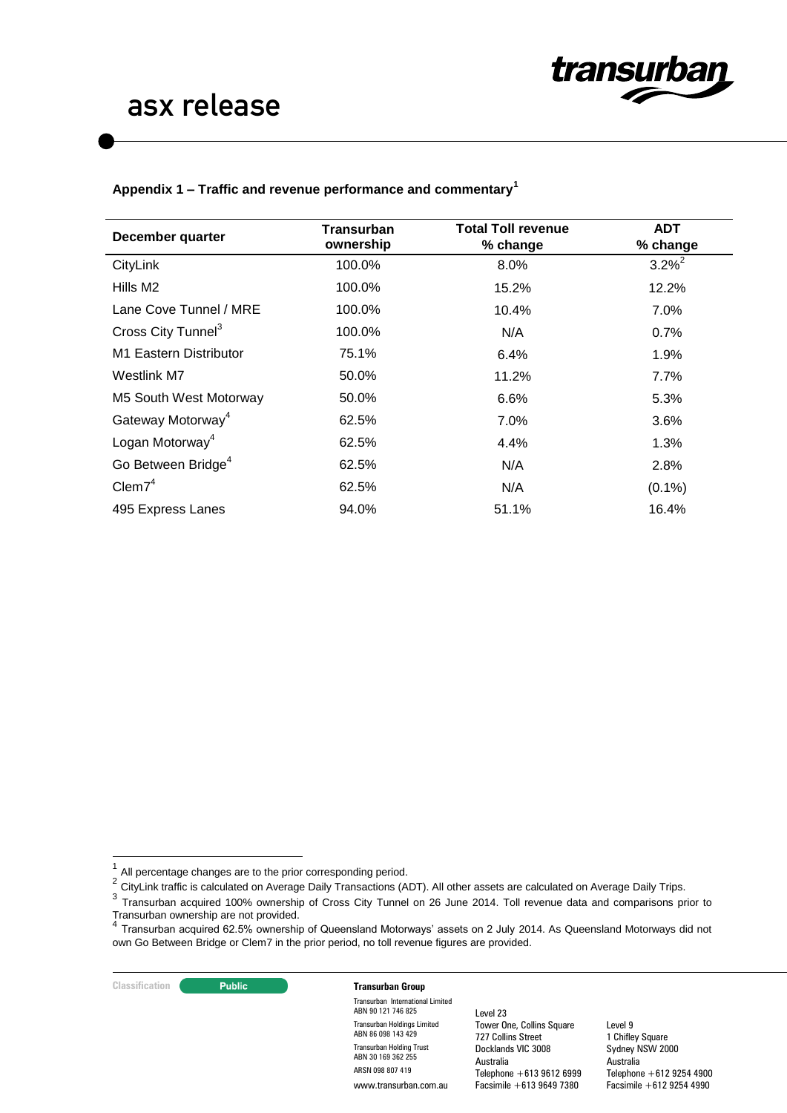

## **Appendix 1 – Traffic and revenue performance and commentary<sup>1</sup>**

| December quarter               | Transurban<br>ownership | <b>Total Toll revenue</b><br>% change | <b>ADT</b><br>% change |
|--------------------------------|-------------------------|---------------------------------------|------------------------|
| CityLink                       | 100.0%                  | 8.0%                                  | $3.2\%^{2}$            |
| Hills M2                       | 100.0%                  | 15.2%                                 | 12.2%                  |
| Lane Cove Tunnel / MRE         | 100.0%                  | 10.4%                                 | 7.0%                   |
| Cross City Tunnel <sup>3</sup> | 100.0%                  | N/A                                   | 0.7%                   |
| M1 Eastern Distributor         | 75.1%                   | 6.4%                                  | 1.9%                   |
| Westlink M7                    | 50.0%                   | 11.2%                                 | $7.7\%$                |
| M5 South West Motorway         | 50.0%                   | 6.6%                                  | 5.3%                   |
| Gateway Motorway <sup>4</sup>  | 62.5%                   | 7.0%                                  | 3.6%                   |
| Logan Motorway <sup>4</sup>    | 62.5%                   | 4.4%                                  | 1.3%                   |
| Go Between Bridge <sup>4</sup> | 62.5%                   | N/A                                   | 2.8%                   |
| Clem7 <sup>4</sup>             | 62.5%                   | N/A                                   | $(0.1\%)$              |
| 495 Express Lanes              | 94.0%                   | 51.1%                                 | 16.4%                  |

#### **Classification Transurban Group**

Transurban International Limited ABN 90 121 746 825 Transurban Holdings Limited ABN 86 098 143 429 Transurban Holding Trust ABN 30 169 362 255 ARSN 098 807 419 www.transurban.com.au

Level 23 Tower One, Collins Square 727 Collins Street Docklands VIC 3008 Australia Telephone +613 9612 6999 Facsimile +613 9649 7380

 $\frac{1}{1}$ All percentage changes are to the prior corresponding period. 2

CityLink traffic is calculated on Average Daily Transactions (ADT). All other assets are calculated on Average Daily Trips.

<sup>&</sup>lt;sup>3</sup> Transurban acquired 100% ownership of Cross City Tunnel on 26 June 2014. Toll revenue data and comparisons prior to Transurban ownership are not provided. 4

Transurban acquired 62.5% ownership of Queensland Motorways' assets on 2 July 2014. As Queensland Motorways did not own Go Between Bridge or Clem7 in the prior period, no toll revenue figures are provided.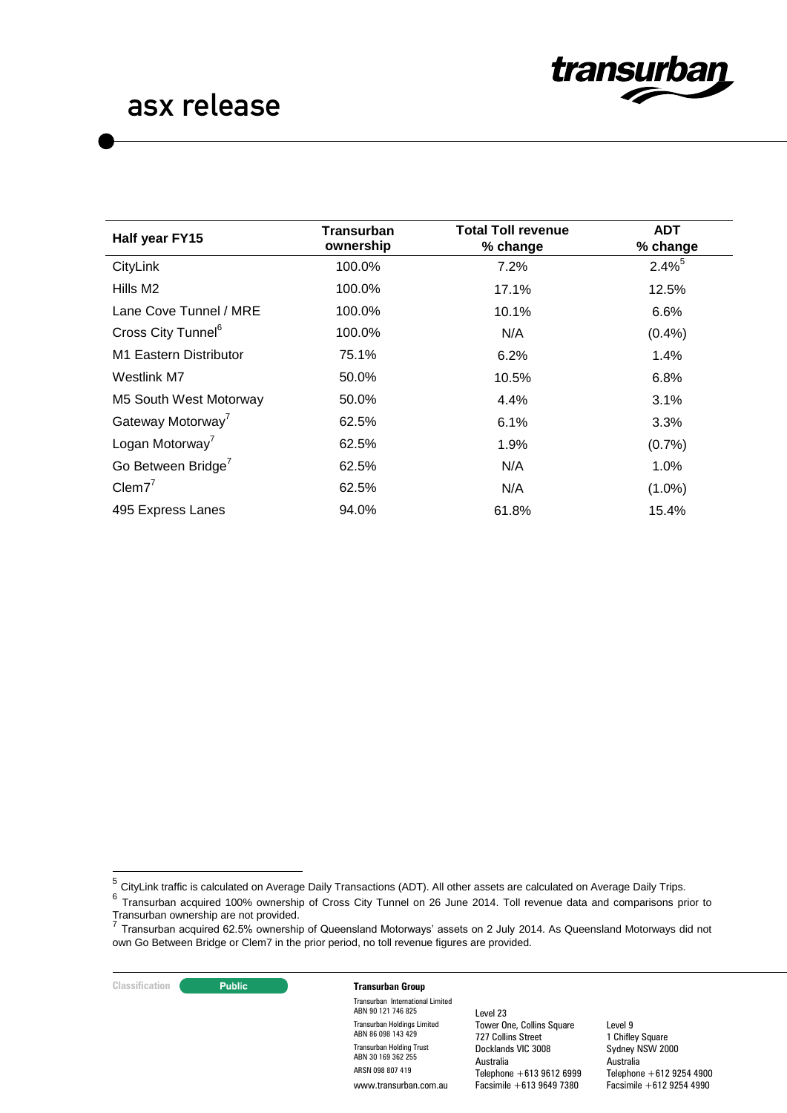

| Half year FY15                 | Transurban<br>ownership | <b>Total Toll revenue</b><br>% change | <b>ADT</b><br>% change |
|--------------------------------|-------------------------|---------------------------------------|------------------------|
| CityLink                       | 100.0%                  | 7.2%                                  | $2.4\%$ <sup>5</sup>   |
| Hills M2                       | 100.0%                  | 17.1%                                 | 12.5%                  |
| Lane Cove Tunnel / MRE         | 100.0%                  | 10.1%                                 | 6.6%                   |
| Cross City Tunnel <sup>6</sup> | 100.0%                  | N/A                                   | (0.4% )                |
| M1 Eastern Distributor         | 75.1%                   | 6.2%                                  | 1.4%                   |
| Westlink M7                    | 50.0%                   | 10.5%                                 | 6.8%                   |
| M5 South West Motorway         | 50.0%                   | 4.4%                                  | 3.1%                   |
| Gateway Motorway <sup>7</sup>  | 62.5%                   | 6.1%                                  | 3.3%                   |
| Logan Motorway <sup>7</sup>    | 62.5%                   | 1.9%                                  | (0.7%                  |
| Go Between Bridge <sup>7</sup> | 62.5%                   | N/A                                   | $1.0\%$                |
| $Clem7^7$                      | 62.5%                   | N/A                                   | $(1.0\%)$              |
| 495 Express Lanes              | 94.0%                   | 61.8%                                 | 15.4%                  |

## **Classification Transurban Group**

Transurban International Limited ABN 90 121 746 825 Transurban Holdings Limited ABN 86 098 143 429 Transurban Holding Trust ABN 30 169 362 255 ARSN 098 807 419 www.transurban.com.au

Level 23 Tower One, Collins Square 727 Collins Street Docklands VIC 3008 Australia Telephone +613 9612 6999 Facsimile +613 9649 7380

 5 CityLink traffic is calculated on Average Daily Transactions (ADT). All other assets are calculated on Average Daily Trips.

<sup>6</sup> Transurban acquired 100% ownership of Cross City Tunnel on 26 June 2014. Toll revenue data and comparisons prior to Transurban ownership are not provided. 7

Transurban acquired 62.5% ownership of Queensland Motorways' assets on 2 July 2014. As Queensland Motorways did not own Go Between Bridge or Clem7 in the prior period, no toll revenue figures are provided.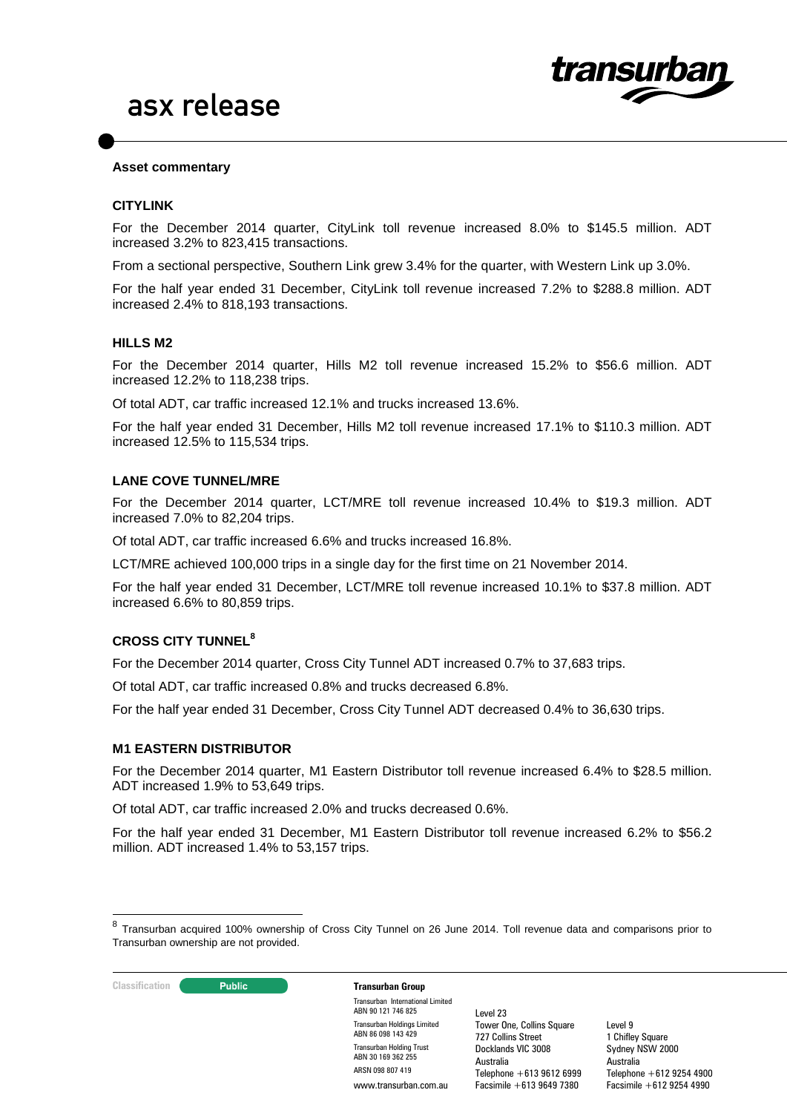

#### **Asset commentary**

#### **CITYLINK**

For the December 2014 quarter, CityLink toll revenue increased 8.0% to \$145.5 million. ADT increased 3.2% to 823,415 transactions.

From a sectional perspective, Southern Link grew 3.4% for the quarter, with Western Link up 3.0%.

For the half year ended 31 December, CityLink toll revenue increased 7.2% to \$288.8 million. ADT increased 2.4% to 818,193 transactions.

### **HILLS M2**

For the December 2014 quarter, Hills M2 toll revenue increased 15.2% to \$56.6 million. ADT increased 12.2% to 118,238 trips.

Of total ADT, car traffic increased 12.1% and trucks increased 13.6%.

For the half year ended 31 December, Hills M2 toll revenue increased 17.1% to \$110.3 million. ADT increased 12.5% to 115,534 trips.

### **LANE COVE TUNNEL/MRE**

For the December 2014 quarter, LCT/MRE toll revenue increased 10.4% to \$19.3 million. ADT increased 7.0% to 82,204 trips.

Of total ADT, car traffic increased 6.6% and trucks increased 16.8%.

LCT/MRE achieved 100,000 trips in a single day for the first time on 21 November 2014.

For the half year ended 31 December, LCT/MRE toll revenue increased 10.1% to \$37.8 million. ADT increased 6.6% to 80,859 trips.

# **CROSS CITY TUNNEL<sup>8</sup>**

For the December 2014 quarter, Cross City Tunnel ADT increased 0.7% to 37,683 trips.

Of total ADT, car traffic increased 0.8% and trucks decreased 6.8%.

For the half year ended 31 December, Cross City Tunnel ADT decreased 0.4% to 36,630 trips.

#### **M1 EASTERN DISTRIBUTOR**

For the December 2014 quarter, M1 Eastern Distributor toll revenue increased 6.4% to \$28.5 million. ADT increased 1.9% to 53,649 trips.

Of total ADT, car traffic increased 2.0% and trucks decreased 0.6%.

For the half year ended 31 December, M1 Eastern Distributor toll revenue increased 6.2% to \$56.2 million. ADT increased 1.4% to 53,157 trips.

 $\frac{1}{8}$ Transurban acquired 100% ownership of Cross City Tunnel on 26 June 2014. Toll revenue data and comparisons prior to Transurban ownership are not provided.



Transurban International Limited ABN 90 121 746 825 Transurban Holdings Limited ABN 86 098 143 429 Transurban Holding Trust ABN 30 169 362 255 ARSN 098 807 419 www.transurban.com.au

Level 23 Tower One, Collins Square 727 Collins Street Docklands VIC 3008 Australia Telephone  $+61396126999$  $Facsimile + 613 9649 7380$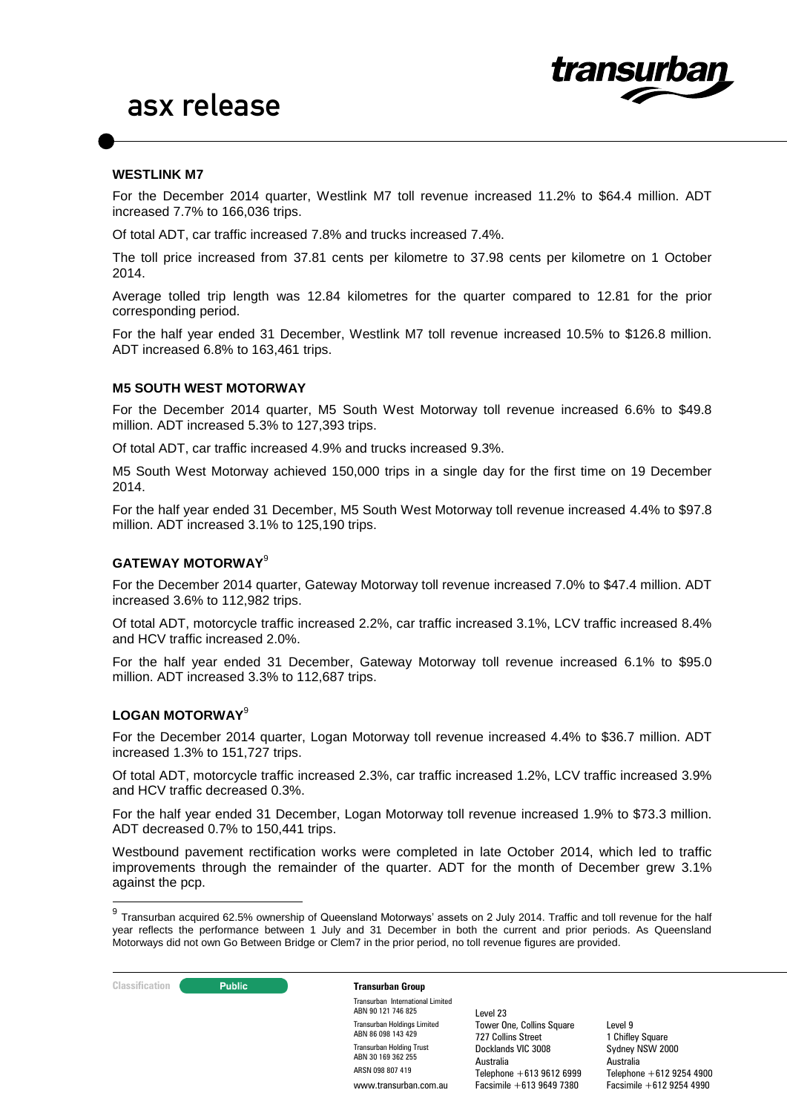

### **WESTLINK M7**

For the December 2014 quarter, Westlink M7 toll revenue increased 11.2% to \$64.4 million. ADT increased 7.7% to 166,036 trips.

Of total ADT, car traffic increased 7.8% and trucks increased 7.4%.

The toll price increased from 37.81 cents per kilometre to 37.98 cents per kilometre on 1 October 2014.

Average tolled trip length was 12.84 kilometres for the quarter compared to 12.81 for the prior corresponding period.

For the half year ended 31 December, Westlink M7 toll revenue increased 10.5% to \$126.8 million. ADT increased 6.8% to 163,461 trips.

### **M5 SOUTH WEST MOTORWAY**

For the December 2014 quarter, M5 South West Motorway toll revenue increased 6.6% to \$49.8 million. ADT increased 5.3% to 127,393 trips.

Of total ADT, car traffic increased 4.9% and trucks increased 9.3%.

M5 South West Motorway achieved 150,000 trips in a single day for the first time on 19 December 2014.

For the half year ended 31 December, M5 South West Motorway toll revenue increased 4.4% to \$97.8 million. ADT increased 3.1% to 125,190 trips.

# **GATEWAY MOTORWAY**<sup>9</sup>

For the December 2014 quarter, Gateway Motorway toll revenue increased 7.0% to \$47.4 million. ADT increased 3.6% to 112,982 trips.

Of total ADT, motorcycle traffic increased 2.2%, car traffic increased 3.1%, LCV traffic increased 8.4% and HCV traffic increased 2.0%.

For the half year ended 31 December, Gateway Motorway toll revenue increased 6.1% to \$95.0 million. ADT increased 3.3% to 112,687 trips.

#### **LOGAN MOTORWAY**<sup>9</sup>

For the December 2014 quarter, Logan Motorway toll revenue increased 4.4% to \$36.7 million. ADT increased 1.3% to 151,727 trips.

Of total ADT, motorcycle traffic increased 2.3%, car traffic increased 1.2%, LCV traffic increased 3.9% and HCV traffic decreased 0.3%.

For the half year ended 31 December, Logan Motorway toll revenue increased 1.9% to \$73.3 million. ADT decreased 0.7% to 150,441 trips.

Westbound pavement rectification works were completed in late October 2014, which led to traffic improvements through the remainder of the quarter. ADT for the month of December grew 3.1% against the pcp.

**Classification Transurban Group** 

Transurban International Limited ABN 90 121 746 825 Transurban Holdings Limited ABN 86 098 143 429 Transurban Holding Trust ABN 30 169 362 255 ARSN 098 807 419 www.transurban.com.au

Level 23 Tower One, Collins Square 727 Collins Street Docklands VIC 3008 Australia Telephone +613 9612 6999 Facsimile +613 9649 7380

 9 Transurban acquired 62.5% ownership of Queensland Motorways' assets on 2 July 2014. Traffic and toll revenue for the half year reflects the performance between 1 July and 31 December in both the current and prior periods. As Queensland Motorways did not own Go Between Bridge or Clem7 in the prior period, no toll revenue figures are provided.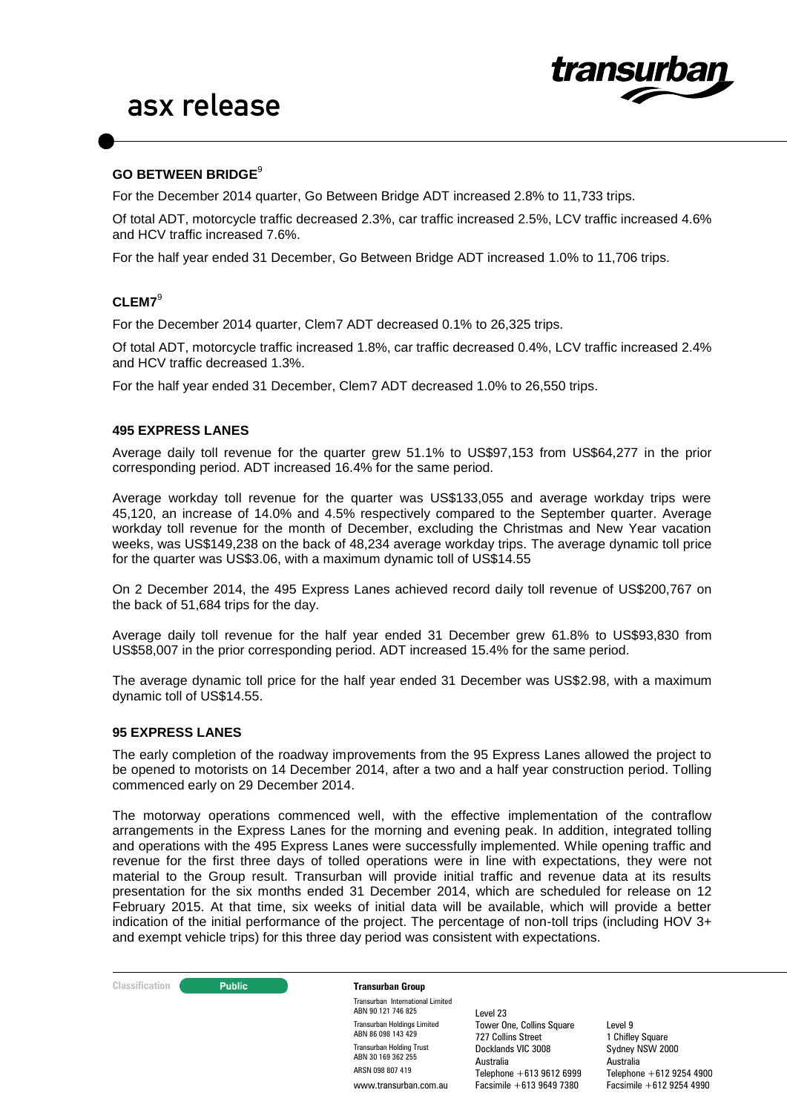

# **GO BETWEEN BRIDGE**<sup>9</sup>

For the December 2014 quarter, Go Between Bridge ADT increased 2.8% to 11,733 trips.

Of total ADT, motorcycle traffic decreased 2.3%, car traffic increased 2.5%, LCV traffic increased 4.6% and HCV traffic increased 7.6%.

For the half year ended 31 December, Go Between Bridge ADT increased 1.0% to 11,706 trips.

### **CLEM7**<sup>9</sup>

For the December 2014 quarter, Clem7 ADT decreased 0.1% to 26,325 trips.

Of total ADT, motorcycle traffic increased 1.8%, car traffic decreased 0.4%, LCV traffic increased 2.4% and HCV traffic decreased 1.3%.

For the half year ended 31 December, Clem7 ADT decreased 1.0% to 26,550 trips.

#### **495 EXPRESS LANES**

Average daily toll revenue for the quarter grew 51.1% to US\$97,153 from US\$64,277 in the prior corresponding period. ADT increased 16.4% for the same period.

Average workday toll revenue for the quarter was US\$133,055 and average workday trips were 45,120, an increase of 14.0% and 4.5% respectively compared to the September quarter. Average workday toll revenue for the month of December, excluding the Christmas and New Year vacation weeks, was US\$149,238 on the back of 48,234 average workday trips. The average dynamic toll price for the quarter was US\$3.06, with a maximum dynamic toll of US\$14.55

On 2 December 2014, the 495 Express Lanes achieved record daily toll revenue of US\$200,767 on the back of 51,684 trips for the day.

Average daily toll revenue for the half year ended 31 December grew 61.8% to US\$93,830 from US\$58,007 in the prior corresponding period. ADT increased 15.4% for the same period.

The average dynamic toll price for the half year ended 31 December was US\$2.98, with a maximum dynamic toll of US\$14.55.

### **95 EXPRESS LANES**

The early completion of the roadway improvements from the 95 Express Lanes allowed the project to be opened to motorists on 14 December 2014, after a two and a half year construction period. Tolling commenced early on 29 December 2014.

The motorway operations commenced well, with the effective implementation of the contraflow arrangements in the Express Lanes for the morning and evening peak. In addition, integrated tolling and operations with the 495 Express Lanes were successfully implemented. While opening traffic and revenue for the first three days of tolled operations were in line with expectations, they were not material to the Group result. Transurban will provide initial traffic and revenue data at its results presentation for the six months ended 31 December 2014, which are scheduled for release on 12 February 2015. At that time, six weeks of initial data will be available, which will provide a better indication of the initial performance of the project. The percentage of non-toll trips (including HOV 3+ and exempt vehicle trips) for this three day period was consistent with expectations.

**Classification Transurban Group** 

Transurban International Limited ABN 90 121 746 825 Transurban Holdings Limited ABN 86 098 143 429 Transurban Holding Trust ABN 30 169 362 255 ARSN 098 807 419 www.transurban.com.au

Level 23 Tower One, Collins Square 727 Collins Street Docklands VIC 3008 Australia Telephone +613 9612 6999 Facsimile +613 9649 7380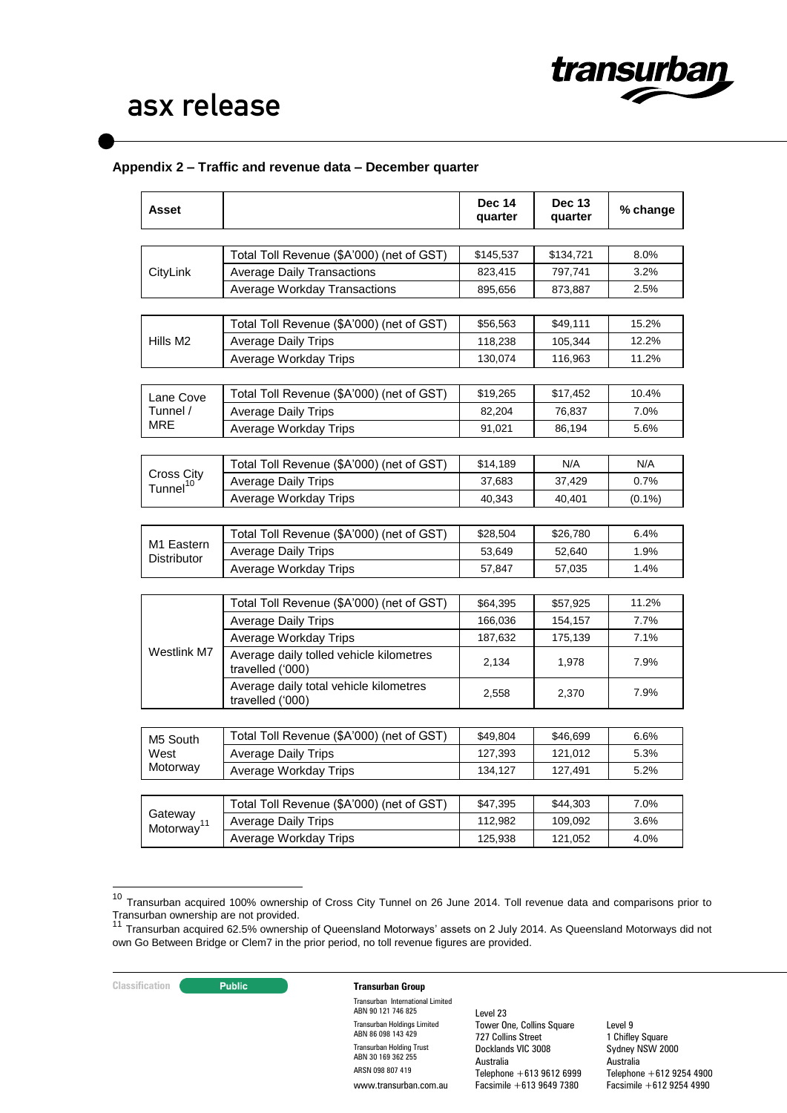

# **Appendix 2 – Traffic and revenue data – December quarter**

| Asset                              |                                                             | <b>Dec 14</b><br>quarter | <b>Dec 13</b><br>quarter | % change  |
|------------------------------------|-------------------------------------------------------------|--------------------------|--------------------------|-----------|
|                                    |                                                             |                          |                          |           |
|                                    | Total Toll Revenue (\$A'000) (net of GST)                   | \$145,537                | \$134,721                | 8.0%      |
| CityLink                           | <b>Average Daily Transactions</b>                           | 823,415                  | 797,741                  | 3.2%      |
|                                    | <b>Average Workday Transactions</b>                         | 895,656                  | 873,887                  | 2.5%      |
|                                    |                                                             |                          |                          |           |
|                                    | Total Toll Revenue (\$A'000) (net of GST)                   | \$56,563                 | \$49,111                 | 15.2%     |
| Hills M <sub>2</sub>               | <b>Average Daily Trips</b>                                  | 118,238                  | 105,344                  | 12.2%     |
|                                    | Average Workday Trips                                       | 130,074                  | 116,963                  | 11.2%     |
| Lane Cove                          | Total Toll Revenue (\$A'000) (net of GST)                   | \$19,265                 | \$17,452                 | 10.4%     |
| Tunnel /                           | <b>Average Daily Trips</b>                                  | 82,204                   | 76,837                   | 7.0%      |
| MRE                                | Average Workday Trips                                       | 91,021                   | 86,194                   | 5.6%      |
|                                    |                                                             |                          |                          |           |
|                                    | Total Toll Revenue (\$A'000) (net of GST)                   | \$14,189                 | N/A                      | N/A       |
| Cross City<br>Tunnel <sup>10</sup> | <b>Average Daily Trips</b>                                  | 37,683                   | 37,429                   | 0.7%      |
|                                    | Average Workday Trips                                       | 40,343                   | 40,401                   | $(0.1\%)$ |
|                                    |                                                             |                          |                          |           |
|                                    | Total Toll Revenue (\$A'000) (net of GST)                   | \$28,504                 | \$26,780                 | 6.4%      |
| M1 Eastern<br>Distributor          | <b>Average Daily Trips</b>                                  | 53,649                   | 52,640                   | 1.9%      |
|                                    | Average Workday Trips                                       | 57,847                   | 57,035                   | 1.4%      |
|                                    |                                                             |                          |                          |           |
|                                    | Total Toll Revenue (\$A'000) (net of GST)                   | \$64,395                 | \$57,925                 | 11.2%     |
|                                    | <b>Average Daily Trips</b>                                  | 166,036                  | 154,157                  | 7.7%      |
|                                    | Average Workday Trips                                       | 187,632                  | 175,139                  | 7.1%      |
| Westlink M7                        | Average daily tolled vehicle kilometres<br>travelled ('000) | 2,134                    | 1,978                    | 7.9%      |
|                                    | Average daily total vehicle kilometres<br>travelled ('000)  | 2,558                    | 2,370                    | 7.9%      |
|                                    |                                                             |                          |                          |           |
| M5 South                           | Total Toll Revenue (\$A'000) (net of GST)                   | \$49,804                 | \$46,699                 | 6.6%      |
| West                               | <b>Average Daily Trips</b>                                  | 127,393                  | 121,012                  | 5.3%      |
| Motorway                           | Average Workday Trips                                       | 134,127                  | 127,491                  | 5.2%      |
|                                    |                                                             |                          |                          |           |
| Gateway                            | Total Toll Revenue (\$A'000) (net of GST)                   | \$47,395                 | \$44,303                 | 7.0%      |
| Motorway <sup>11</sup>             | <b>Average Daily Trips</b>                                  | 112,982                  | 109,092                  | 3.6%      |
|                                    | Average Workday Trips                                       | 125,938                  | 121,052                  | 4.0%      |

<sup>&</sup>lt;sup>10</sup> Transurban acquired 100% ownership of Cross City Tunnel on 26 June 2014. Toll revenue data and comparisons prior to Transurban ownership are not provided.

1

## **Classification Constitution Transurban Group**

Transurban International Limited ABN 90 121 746 825 Transurban Holdings Limited ABN 86 098 143 429 Transurban Holding Trust ABN 30 169 362 255 ARSN 098 807 419 www.transurban.com.au

Level 23 Tower One, Collins Square 727 Collins Street Docklands VIC 3008 Australia Telephone +613 9612 6999 Facsimile +613 9649 7380

<sup>11</sup> Transurban acquired 62.5% ownership of Queensland Motorways' assets on 2 July 2014. As Queensland Motorways did not own Go Between Bridge or Clem7 in the prior period, no toll revenue figures are provided.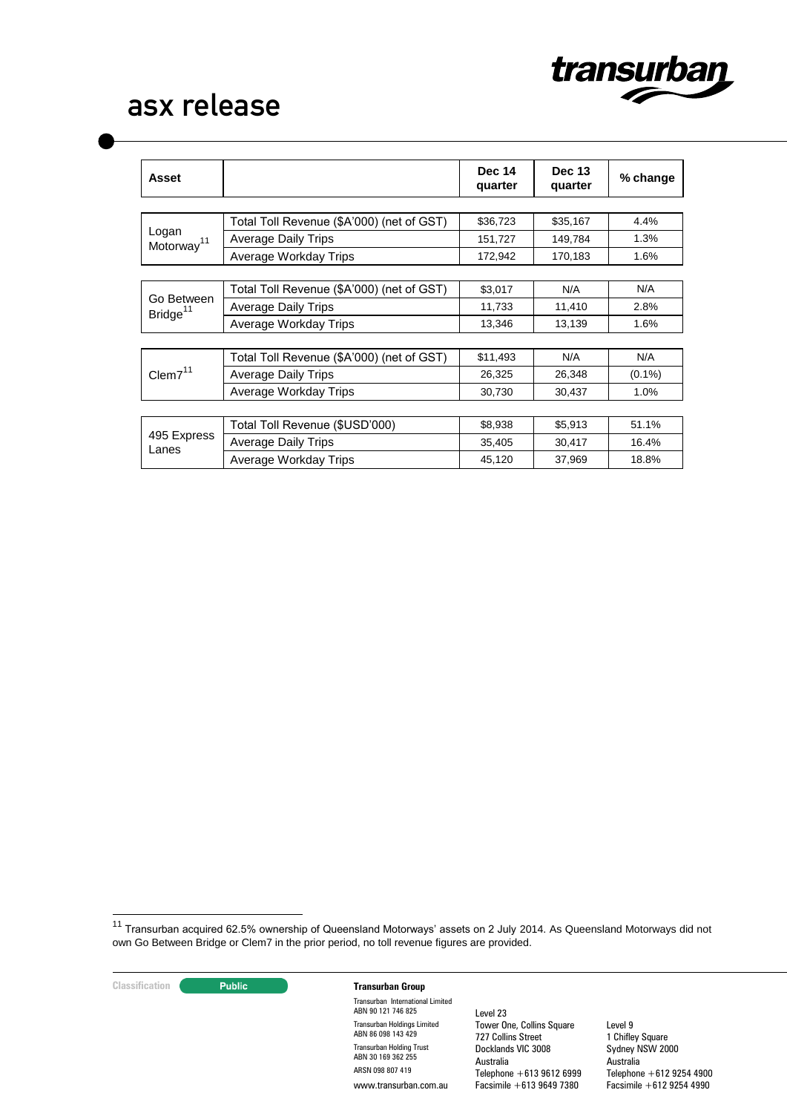

| Asset                              |                                           | <b>Dec 14</b><br>quarter | <b>Dec 13</b><br>quarter | % change  |
|------------------------------------|-------------------------------------------|--------------------------|--------------------------|-----------|
|                                    |                                           |                          |                          |           |
|                                    | Total Toll Revenue (\$A'000) (net of GST) | \$36,723                 | \$35,167                 | 4.4%      |
| Logan<br>Motorway <sup>11</sup>    | <b>Average Daily Trips</b>                | 151,727                  | 149,784                  | 1.3%      |
|                                    | Average Workday Trips                     | 172,942                  | 170.183                  | 1.6%      |
|                                    |                                           |                          |                          |           |
|                                    | Total Toll Revenue (\$A'000) (net of GST) | \$3,017                  | N/A                      | N/A       |
| Go Between<br>Bridge <sup>11</sup> | <b>Average Daily Trips</b>                | 11,733                   | 11,410                   | 2.8%      |
|                                    | Average Workday Trips                     | 13,346                   | 13,139                   | 1.6%      |
|                                    |                                           |                          |                          |           |
|                                    | Total Toll Revenue (\$A'000) (net of GST) | \$11,493                 | N/A                      | N/A       |
| Clem $7^{11}$                      | <b>Average Daily Trips</b>                | 26,325                   | 26,348                   | $(0.1\%)$ |
|                                    | Average Workday Trips                     | 30,730                   | 30,437                   | 1.0%      |
|                                    |                                           |                          |                          |           |
|                                    | Total Toll Revenue (\$USD'000)            | \$8,938                  | \$5,913                  | 51.1%     |
| 495 Express<br>Lanes               | <b>Average Daily Trips</b>                | 35,405                   | 30,417                   | 16.4%     |
|                                    | Average Workday Trips                     | 45,120                   | 37,969                   | 18.8%     |

<sup>11</sup> Transurban acquired 62.5% ownership of Queensland Motorways' assets on 2 July 2014. As Queensland Motorways did not own Go Between Bridge or Clem7 in the prior period, no toll revenue figures are provided.

**Classification Transurban Group**

 $\overline{a}$ 

Transurban International Limited ABN 90 121 746 825 Transurban Holdings Limited ABN 86 098 143 429 Transurban Holding Trust ABN 30 169 362 255 ARSN 098 807 419 www.transurban.com.au

Level 23 Tower One, Collins Square 727 Collins Street Docklands VIC 3008 Australia Telephone +613 9612 6999 Facsimile +613 9649 7380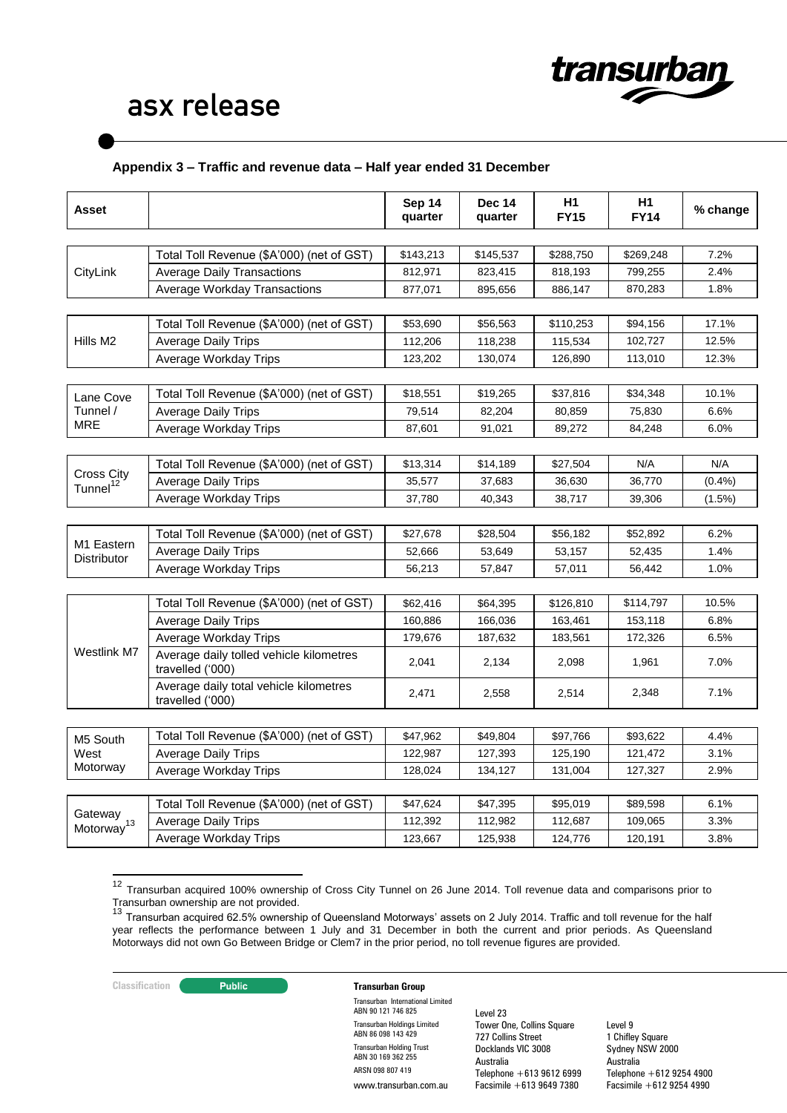

# **Appendix 3 – Traffic and revenue data – Half year ended 31 December**

| Asset                                     |                                                             | Sep 14<br>quarter | <b>Dec 14</b><br>quarter | H1<br><b>FY15</b> | H1<br><b>FY14</b> | % change  |
|-------------------------------------------|-------------------------------------------------------------|-------------------|--------------------------|-------------------|-------------------|-----------|
|                                           |                                                             |                   |                          |                   |                   |           |
|                                           | Total Toll Revenue (\$A'000) (net of GST)                   | \$143,213         | \$145,537                | \$288,750         | \$269,248         | 7.2%      |
| CityLink                                  | <b>Average Daily Transactions</b>                           | 812,971           | 823,415                  | 818,193           | 799,255           | 2.4%      |
|                                           | <b>Average Workday Transactions</b>                         | 877,071           | 895,656                  | 886,147           | 870,283           | 1.8%      |
|                                           |                                                             |                   |                          |                   |                   |           |
|                                           | Total Toll Revenue (\$A'000) (net of GST)                   | \$53,690          | \$56,563                 | \$110,253         | \$94,156          | 17.1%     |
| Hills M <sub>2</sub>                      | <b>Average Daily Trips</b>                                  | 112,206           | 118,238                  | 115,534           | 102,727           | 12.5%     |
|                                           | Average Workday Trips                                       | 123,202           | 130,074                  | 126,890           | 113,010           | 12.3%     |
|                                           |                                                             |                   |                          |                   |                   |           |
| Lane Cove                                 | Total Toll Revenue (\$A'000) (net of GST)                   | \$18,551          | \$19,265                 | \$37,816          | \$34,348          | 10.1%     |
| Tunnel /                                  | Average Daily Trips                                         | 79,514            | 82,204                   | 80,859            | 75,830            | 6.6%      |
| MRE                                       | Average Workday Trips                                       | 87,601            | 91,021                   | 89,272            | 84,248            | 6.0%      |
|                                           |                                                             |                   |                          |                   |                   |           |
|                                           | Total Toll Revenue (\$A'000) (net of GST)                   | \$13,314          | \$14,189                 | \$27,504          | N/A               | N/A       |
| <b>Cross City</b><br>Tunnel <sup>12</sup> | <b>Average Daily Trips</b>                                  | 35,577            | 37,683                   | 36,630            | 36,770            | (0.4% )   |
|                                           | Average Workday Trips                                       | 37,780            | 40,343                   | 38,717            | 39,306            | $(1.5\%)$ |
|                                           |                                                             |                   |                          |                   |                   |           |
| M1 Eastern<br><b>Distributor</b>          | Total Toll Revenue (\$A'000) (net of GST)                   | \$27,678          | \$28,504                 | \$56,182          | \$52,892          | 6.2%      |
|                                           | <b>Average Daily Trips</b>                                  | 52,666            | 53,649                   | 53,157            | 52,435            | 1.4%      |
|                                           | Average Workday Trips                                       | 56,213            | 57,847                   | 57,011            | 56,442            | 1.0%      |
|                                           |                                                             |                   |                          |                   |                   |           |
|                                           | Total Toll Revenue (\$A'000) (net of GST)                   | \$62,416          | \$64,395                 | \$126,810         | \$114,797         | 10.5%     |
|                                           | Average Daily Trips                                         | 160,886           | 166,036                  | 163,461           | 153,118           | 6.8%      |
|                                           | Average Workday Trips                                       | 179,676           | 187,632                  | 183,561           | 172,326           | 6.5%      |
| Westlink M7                               | Average daily tolled vehicle kilometres<br>travelled ('000) | 2,041             | 2,134                    | 2,098             | 1,961             | 7.0%      |
|                                           | Average daily total vehicle kilometres<br>travelled ('000)  | 2,471             | 2,558                    | 2,514             | 2,348             | 7.1%      |
|                                           |                                                             |                   |                          |                   |                   |           |
| M5 South                                  | Total Toll Revenue (\$A'000) (net of GST)                   | \$47,962          | \$49,804                 | \$97,766          | \$93,622          | 4.4%      |
| West                                      | <b>Average Daily Trips</b>                                  | 122,987           | 127,393                  | 125,190           | 121,472           | 3.1%      |
| Motorway                                  | Average Workday Trips                                       | 128,024           | 134,127                  | 131,004           | 127,327           | 2.9%      |
|                                           |                                                             |                   |                          |                   |                   |           |
|                                           | Total Toll Revenue (\$A'000) (net of GST)                   | \$47,624          | \$47,395                 | \$95,019          | \$89,598          | 6.1%      |
| Gateway<br>Motorway <sup>13</sup>         | <b>Average Daily Trips</b>                                  | 112,392           | 112,982                  | 112,687           | 109,065           | 3.3%      |
|                                           | Average Workday Trips                                       | 123,667           | 125,938                  | 124,776           | 120,191           | 3.8%      |

<sup>&</sup>lt;sup>12</sup> Transurban acquired 100% ownership of Cross City Tunnel on 26 June 2014. Toll revenue data and comparisons prior to

 $\overline{\phantom{a}}$ 

### **Classification Constitution Transurban Group**

Transurban International Limited ABN 90 121 746 825 Transurban Holdings Limited ABN 86 098 143 429 Transurban Holding Trust ABN 30 169 362 255 ARSN 098 807 419 www.transurban.com.au

Level 23 Tower One, Collins Square 727 Collins Street Docklands VIC 3008 Australia Telephone +613 9612 6999 Facsimile +613 9649 7380

Transurban ownership are not provided.<br><sup>13</sup> Transurban acquired 62.5% ownership of Queensland Motorways' assets on 2 July 2014. Traffic and toll revenue for the half year reflects the performance between 1 July and 31 December in both the current and prior periods. As Queensland Motorways did not own Go Between Bridge or Clem7 in the prior period, no toll revenue figures are provided.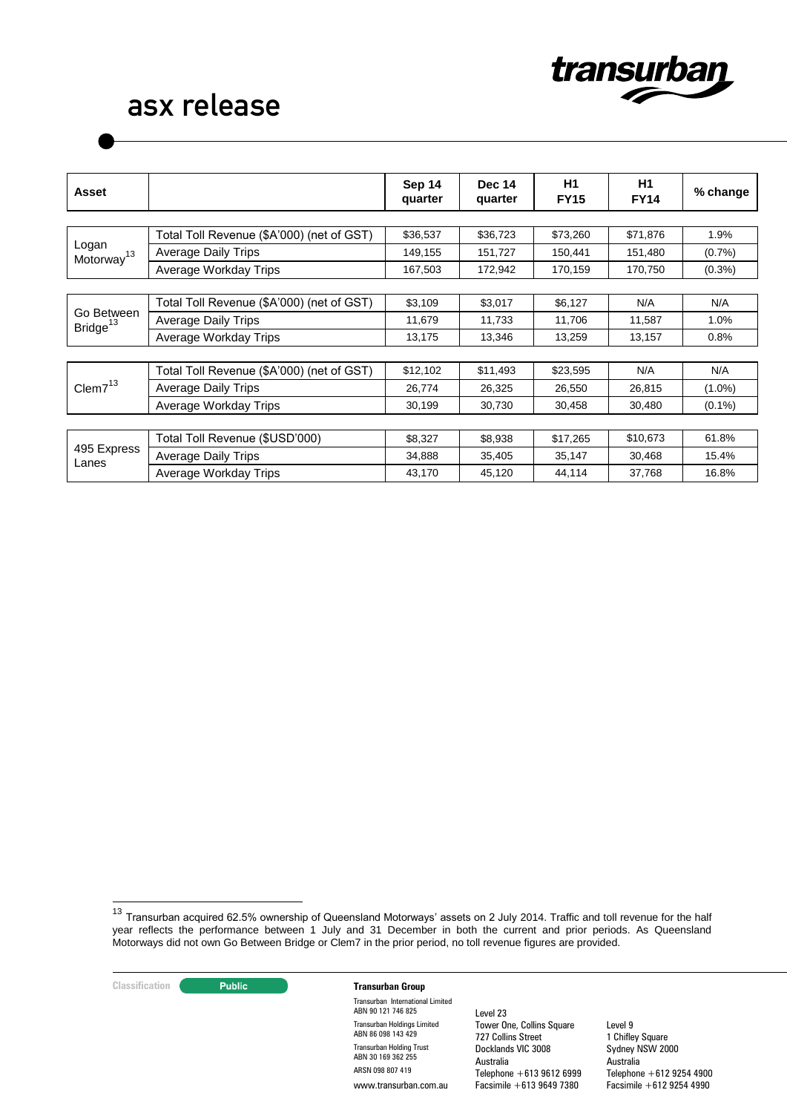

| <b>Asset</b>                       |                                           | Sep 14<br>quarter | <b>Dec 14</b><br>quarter | H1<br><b>FY15</b> | H1<br><b>FY14</b> | % change  |
|------------------------------------|-------------------------------------------|-------------------|--------------------------|-------------------|-------------------|-----------|
|                                    |                                           |                   |                          |                   |                   |           |
|                                    | Total Toll Revenue (\$A'000) (net of GST) | \$36,537          | \$36,723                 | \$73,260          | \$71,876          | 1.9%      |
| Logan<br>Motorway <sup>13</sup>    | <b>Average Daily Trips</b>                | 149,155           | 151,727                  | 150,441           | 151,480           | (0.7%     |
|                                    | Average Workday Trips                     | 167,503           | 172,942                  | 170,159           | 170,750           | $(0.3\%)$ |
|                                    |                                           |                   |                          |                   |                   |           |
|                                    | Total Toll Revenue (\$A'000) (net of GST) | \$3,109           | \$3,017                  | \$6,127           | N/A               | N/A       |
| Go Between<br>Bridge <sup>13</sup> | Average Daily Trips                       | 11,679            | 11,733                   | 11,706            | 11,587            | 1.0%      |
|                                    | Average Workday Trips                     | 13,175            | 13,346                   | 13,259            | 13,157            | 0.8%      |
|                                    |                                           |                   |                          |                   |                   |           |
|                                    | Total Toll Revenue (\$A'000) (net of GST) | \$12,102          | \$11,493                 | \$23,595          | N/A               | N/A       |
| Clem $7^{13}$                      | <b>Average Daily Trips</b>                | 26,774            | 26,325                   | 26,550            | 26,815            | $(1.0\%)$ |
|                                    | Average Workday Trips                     | 30,199            | 30,730                   | 30,458            | 30,480            | $(0.1\%)$ |
|                                    |                                           |                   |                          |                   |                   |           |
|                                    | Total Toll Revenue (\$USD'000)            | \$8,327           | \$8,938                  | \$17,265          | \$10,673          | 61.8%     |
| 495 Express<br>Lanes               | <b>Average Daily Trips</b>                | 34,888            | 35,405                   | 35,147            | 30,468            | 15.4%     |
|                                    | Average Workday Trips                     | 43,170            | 45,120                   | 44,114            | 37,768            | 16.8%     |

<u>.</u>

#### **Classification Constitution Transurban Group**

Transurban International Limited ABN 90 121 746 825 Transurban Holdings Limited ABN 86 098 143 429 Transurban Holding Trust ABN 30 169 362 255 ARSN 098 807 419 www.transurban.com.au

Level 23 Tower One, Collins Square 727 Collins Street Docklands VIC 3008 Australia Telephone +613 9612 6999 Facsimile +613 9649 7380

<sup>&</sup>lt;sup>13</sup> Transurban acquired 62.5% ownership of Queensland Motorways' assets on 2 July 2014. Traffic and toll revenue for the half year reflects the performance between 1 July and 31 December in both the current and prior periods. As Queensland Motorways did not own Go Between Bridge or Clem7 in the prior period, no toll revenue figures are provided.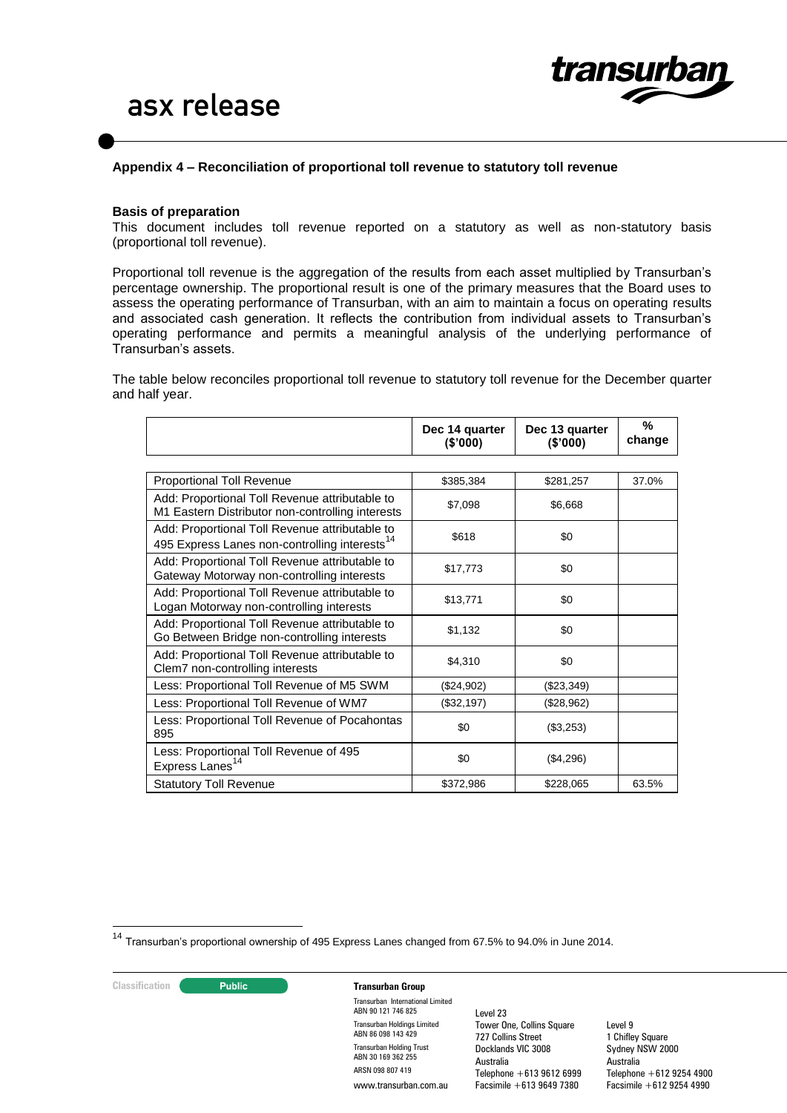

#### **Appendix 4 – Reconciliation of proportional toll revenue to statutory toll revenue**

#### **Basis of preparation**

This document includes toll revenue reported on a statutory as well as non-statutory basis (proportional toll revenue).

Proportional toll revenue is the aggregation of the results from each asset multiplied by Transurban's percentage ownership. The proportional result is one of the primary measures that the Board uses to assess the operating performance of Transurban, with an aim to maintain a focus on operating results and associated cash generation. It reflects the contribution from individual assets to Transurban's operating performance and permits a meaningful analysis of the underlying performance of Transurban's assets.

The table below reconciles proportional toll revenue to statutory toll revenue for the December quarter and half year.

|                                                                                                             | Dec 14 quarter<br>(\$'000) | Dec 13 quarter<br>(S'000) | %<br>change |
|-------------------------------------------------------------------------------------------------------------|----------------------------|---------------------------|-------------|
|                                                                                                             |                            |                           |             |
| Proportional Toll Revenue                                                                                   | \$385,384                  | \$281,257                 | 37.0%       |
| Add: Proportional Toll Revenue attributable to<br>M1 Eastern Distributor non-controlling interests          | \$7,098                    | \$6.668                   |             |
| Add: Proportional Toll Revenue attributable to<br>495 Express Lanes non-controlling interests <sup>14</sup> | \$618                      | \$0                       |             |
| Add: Proportional Toll Revenue attributable to<br>Gateway Motorway non-controlling interests                | \$17,773                   | \$0                       |             |
| Add: Proportional Toll Revenue attributable to<br>Logan Motorway non-controlling interests                  | \$13,771                   | \$0                       |             |
| Add: Proportional Toll Revenue attributable to<br>Go Between Bridge non-controlling interests               | \$1,132                    | \$0                       |             |
| Add: Proportional Toll Revenue attributable to<br>Clem7 non-controlling interests                           | \$4,310                    | \$0                       |             |
| Less: Proportional Toll Revenue of M5 SWM                                                                   | (\$24,902)                 | (\$23,349)                |             |
| Less: Proportional Toll Revenue of WM7                                                                      | (\$32,197)                 | (\$28,962)                |             |
| Less: Proportional Toll Revenue of Pocahontas<br>895                                                        | \$0                        | (\$3,253)                 |             |
| Less: Proportional Toll Revenue of 495<br>Express Lanes <sup>14</sup>                                       | \$0                        | (\$4,296)                 |             |
| <b>Statutory Toll Revenue</b>                                                                               | \$372,986                  | \$228,065                 | 63.5%       |

<sup>14</sup> Transurban's proportional ownership of 495 Express Lanes changed from 67.5% to 94.0% in June 2014.

1

#### **Classification Transurban Group**

Transurban International Limited ABN 90 121 746 825 Transurban Holdings Limited ABN 86 098 143 429 Transurban Holding Trust ABN 30 169 362 255 ARSN 098 807 419 www.transurban.com.au

Level 23 Tower One, Collins Square 727 Collins Street Docklands VIC 3008 Australia Telephone +613 9612 6999 Facsimile +613 9649 7380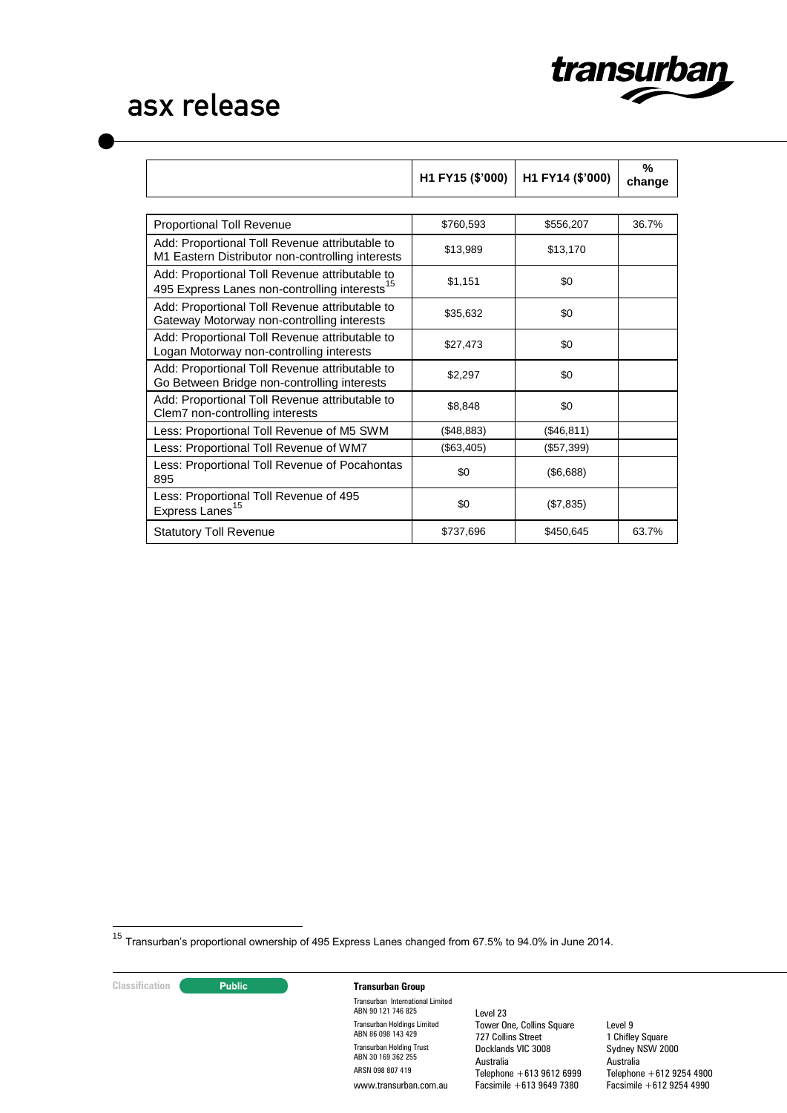

|                                                                                                             | H1 FY15 (\$'000) | H1 FY14 (\$'000) | %<br>change |
|-------------------------------------------------------------------------------------------------------------|------------------|------------------|-------------|
|                                                                                                             |                  |                  |             |
| <b>Proportional Toll Revenue</b>                                                                            | \$760,593        | \$556,207        | 36.7%       |
| Add: Proportional Toll Revenue attributable to<br>M1 Eastern Distributor non-controlling interests          | \$13,989         | \$13,170         |             |
| Add: Proportional Toll Revenue attributable to<br>495 Express Lanes non-controlling interests <sup>15</sup> | \$1,151          | \$0              |             |
| Add: Proportional Toll Revenue attributable to<br>Gateway Motorway non-controlling interests                | \$35,632         | \$0              |             |
| Add: Proportional Toll Revenue attributable to<br>Logan Motorway non-controlling interests                  | \$27,473         | \$0              |             |
| Add: Proportional Toll Revenue attributable to<br>Go Between Bridge non-controlling interests               | \$2,297          | \$0              |             |
| Add: Proportional Toll Revenue attributable to<br>Clem7 non-controlling interests                           | \$8,848          | \$0              |             |
| Less: Proportional Toll Revenue of M5 SWM                                                                   | (\$48,883)       | (\$46, 811)      |             |
| Less: Proportional Toll Revenue of WM7                                                                      | (\$63,405)       | (\$57,399)       |             |
| Less: Proportional Toll Revenue of Pocahontas<br>895                                                        | \$0              | (\$6,688)        |             |
| Less: Proportional Toll Revenue of 495<br>Express Lanes <sup>15</sup>                                       | \$0              | (\$7,835)        |             |
| <b>Statutory Toll Revenue</b>                                                                               | \$737,696        | \$450,645        | 63.7%       |

<sup>15</sup> Transurban's proportional ownership of 495 Express Lanes changed from 67.5% to 94.0% in June 2014.

1

## **Classification Transurban Group**

Transurban International Limited ABN 90 121 746 825 Transurban Holdings Limited ABN 86 098 143 429 Transurban Holding Trust ABN 30 169 362 255 ARSN 098 807 419 www.transurban.com.au

Level 23 Tower One, Collins Square 727 Collins Street Docklands VIC 3008 Australia Telephone +613 9612 6999 Facsimile +613 9649 7380